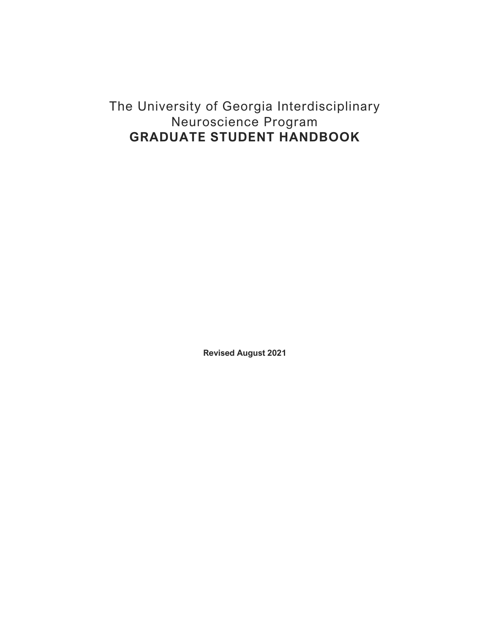# The University of Georgia Interdisciplinary Neuroscience Program **GRADUATE STUDENT HANDBOOK**

**Revised August 2021**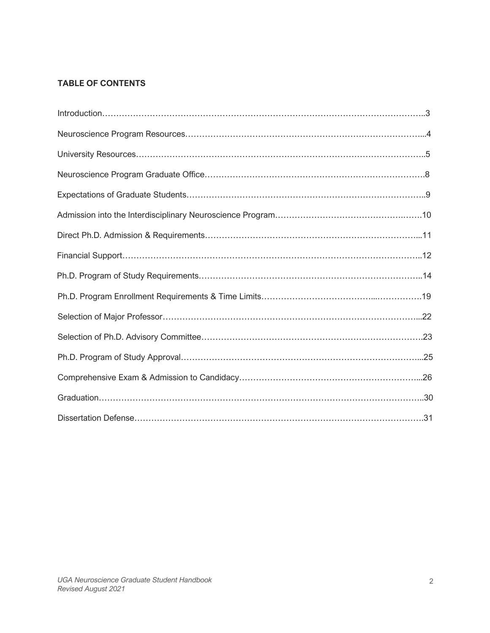# **TABLE OF CONTENTS**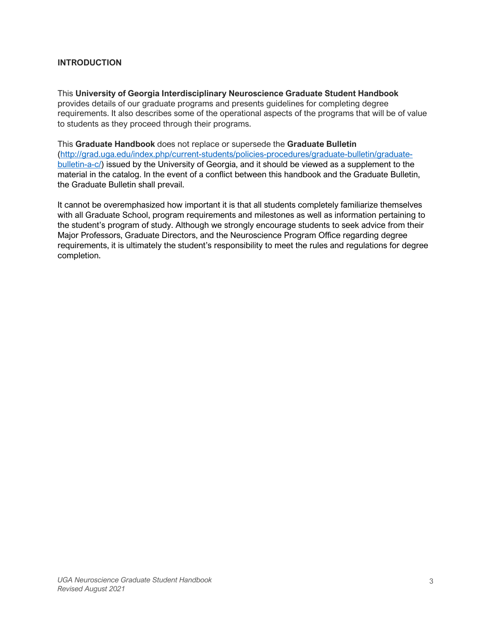# **INTRODUCTION**

This **University of Georgia Interdisciplinary Neuroscience Graduate Student Handbook**  provides details of our graduate programs and presents guidelines for completing degree requirements. It also describes some of the operational aspects of the programs that will be of value to students as they proceed through their programs.

This **Graduate Handbook** does not replace or supersede the **Graduate Bulletin** (http://grad.uga.edu/index.php/current-students/policies-procedures/graduate-bulletin/graduatebulletin-a-c/) issued by the University of Georgia, and it should be viewed as a supplement to the material in the catalog. In the event of a conflict between this handbook and the Graduate Bulletin, the Graduate Bulletin shall prevail.

It cannot be overemphasized how important it is that all students completely familiarize themselves with all Graduate School, program requirements and milestones as well as information pertaining to the student's program of study. Although we strongly encourage students to seek advice from their Major Professors, Graduate Directors, and the Neuroscience Program Office regarding degree requirements, it is ultimately the student's responsibility to meet the rules and regulations for degree completion.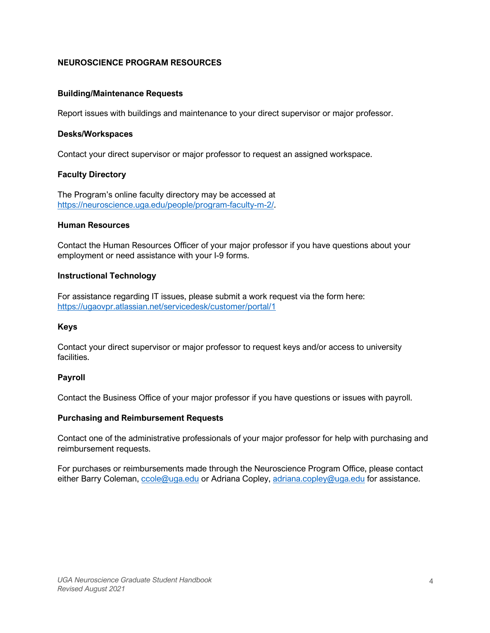# **NEUROSCIENCE PROGRAM RESOURCES**

### **Building/Maintenance Requests**

Report issues with buildings and maintenance to your direct supervisor or major professor.

### **Desks/Workspaces**

Contact your direct supervisor or major professor to request an assigned workspace.

### **Faculty Directory**

The Program's online faculty directory may be accessed at https://neuroscience.uga.edu/people/program-faculty-m-2/.

### **Human Resources**

Contact the Human Resources Officer of your major professor if you have questions about your employment or need assistance with your I-9 forms.

### **Instructional Technology**

For assistance regarding IT issues, please submit a work request via the form here: https://ugaovpr.atlassian.net/servicedesk/customer/portal/1

### **Keys**

Contact your direct supervisor or major professor to request keys and/or access to university facilities.

### **Payroll**

Contact the Business Office of your major professor if you have questions or issues with payroll.

### **Purchasing and Reimbursement Requests**

Contact one of the administrative professionals of your major professor for help with purchasing and reimbursement requests.

For purchases or reimbursements made through the Neuroscience Program Office, please contact either Barry Coleman, ccole@uga.edu or Adriana Copley, adriana.copley@uga.edu for assistance.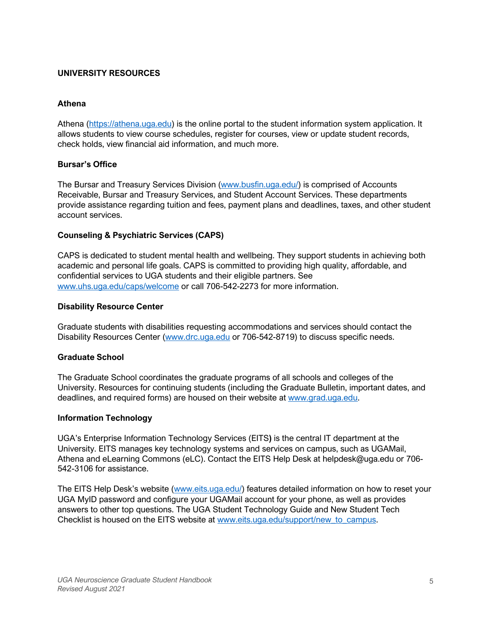# **UNIVERSITY RESOURCES**

# **Athena**

Athena (https://athena.uga.edu) is the online portal to the student information system application. It allows students to view course schedules, register for courses, view or update student records, check holds, view financial aid information, and much more.

# **Bursar's Office**

The Bursar and Treasury Services Division (www.busfin.uga.edu/) is comprised of Accounts Receivable, Bursar and Treasury Services, and Student Account Services. These departments provide assistance regarding tuition and fees, payment plans and deadlines, taxes, and other student account services.

# **Counseling & Psychiatric Services (CAPS)**

CAPS is dedicated to student mental health and wellbeing. They support students in achieving both academic and personal life goals. CAPS is committed to providing high quality, affordable, and confidential services to UGA students and their eligible partners. See www.uhs.uga.edu/caps/welcome or call 706-542-2273 for more information.

### **Disability Resource Center**

Graduate students with disabilities requesting accommodations and services should contact the Disability Resources Center (www.drc.uga.edu or 706-542-8719) to discuss specific needs.

### **Graduate School**

The Graduate School coordinates the graduate programs of all schools and colleges of the University. Resources for continuing students (including the Graduate Bulletin, important dates, and deadlines, and required forms) are housed on their website at www.grad.uga.edu.

### **Information Technology**

UGA's Enterprise Information Technology Services (EITS**)** is the central IT department at the University. EITS manages key technology systems and services on campus, such as UGAMail, Athena and eLearning Commons (eLC). Contact the EITS Help Desk at helpdesk@uga.edu or 706- 542-3106 for assistance.

The EITS Help Desk's website (www.eits.uga.edu/) features detailed information on how to reset your UGA MyID password and configure your UGAMail account for your phone, as well as provides answers to other top questions. The UGA Student Technology Guide and New Student Tech Checklist is housed on the EITS website at www.eits.uga.edu/support/new to campus.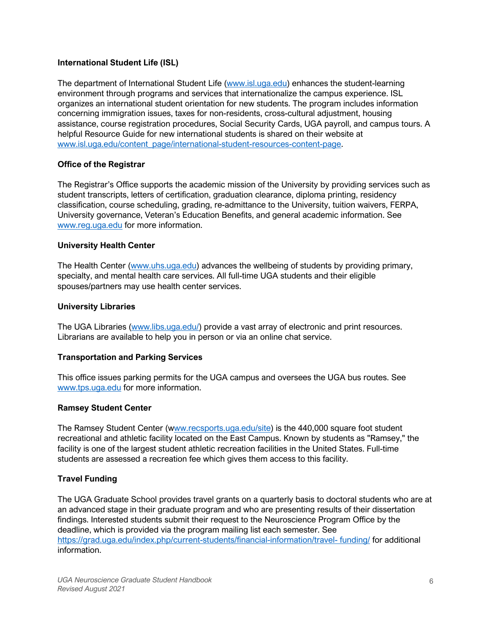# **International Student Life (ISL)**

The department of International Student Life (www.isl.uga.edu) enhances the student-learning environment through programs and services that internationalize the campus experience. ISL organizes an international student orientation for new students. The program includes information concerning immigration issues, taxes for non-residents, cross-cultural adjustment, housing assistance, course registration procedures, Social Security Cards, UGA payroll, and campus tours. A helpful Resource Guide for new international students is shared on their website at www.isl.uga.edu/content\_page/international-student-resources-content-page.

# **Office of the Registrar**

The Registrar's Office supports the academic mission of the University by providing services such as student transcripts, letters of certification, graduation clearance, diploma printing, residency classification, course scheduling, grading, re-admittance to the University, tuition waivers, FERPA, University governance, Veteran's Education Benefits, and general academic information. See www.reg.uga.edu for more information.

### **University Health Center**

The Health Center (www.uhs.uga.edu) advances the wellbeing of students by providing primary, specialty, and mental health care services. All full-time UGA students and their eligible spouses/partners may use health center services.

### **University Libraries**

The UGA Libraries (www.libs.uga.edu/) provide a vast array of electronic and print resources. Librarians are available to help you in person or via an online chat service.

### **Transportation and Parking Services**

This office issues parking permits for the UGA campus and oversees the UGA bus routes. See www.tps.uga.edu for more information.

### **Ramsey Student Center**

The Ramsey Student Center (www.recsports.uga.edu/site) is the 440,000 square foot student recreational and athletic facility located on the East Campus. Known by students as "Ramsey," the facility is one of the largest student athletic recreation facilities in the United States. Full-time students are assessed a recreation fee which gives them access to this facility.

### **Travel Funding**

The UGA Graduate School provides travel grants on a quarterly basis to doctoral students who are at an advanced stage in their graduate program and who are presenting results of their dissertation findings. Interested students submit their request to the Neuroscience Program Office by the deadline, which is provided via the program mailing list each semester. See https://grad.uga.edu/index.php/current-students/financial-information/travel- funding/ for additional information.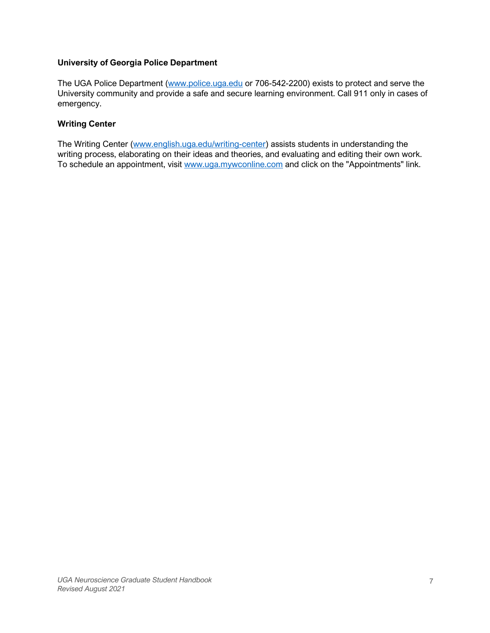# **University of Georgia Police Department**

The UGA Police Department (www.police.uga.edu or 706-542-2200) exists to protect and serve the University community and provide a safe and secure learning environment. Call 911 only in cases of emergency.

# **Writing Center**

The Writing Center (www.english.uga.edu/writing-center) assists students in understanding the writing process, elaborating on their ideas and theories, and evaluating and editing their own work. To schedule an appointment, visit www.uga.mywconline.com and click on the "Appointments" link.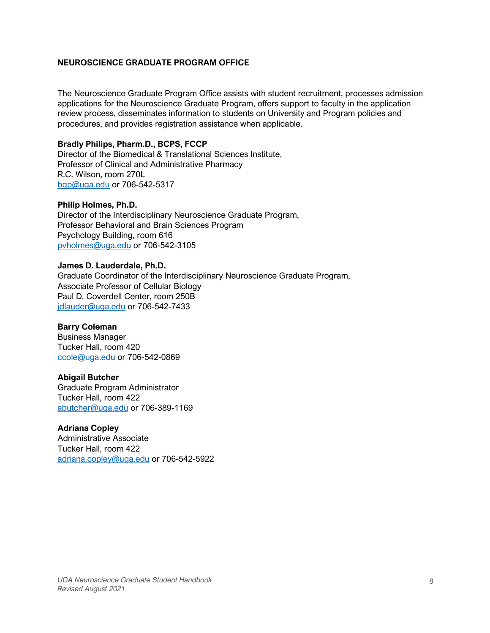### **NEUROSCIENCE GRADUATE PROGRAM OFFICE**

The Neuroscience Graduate Program Office assists with student recruitment, processes admission applications for the Neuroscience Graduate Program, offers support to faculty in the application review process, disseminates information to students on University and Program policies and procedures, and provides registration assistance when applicable.

# **Bradly Philips, Pharm.D., BCPS, FCCP**

Director of the Biomedical & Translational Sciences Institute, Professor of Clinical and Administrative Pharmacy R.C. Wilson, room 270L bgp@uga.edu or 706-542-5317

### **Philip Holmes, Ph.D.**

Director of the Interdisciplinary Neuroscience Graduate Program, Professor Behavioral and Brain Sciences Program Psychology Building, room 616 pvholmes@uga.edu or 706-542-3105

### **James D. Lauderdale, Ph.D.**

Graduate Coordinator of the Interdisciplinary Neuroscience Graduate Program, Associate Professor of Cellular Biology Paul D. Coverdell Center, room 250B jdlauder@uga.edu or 706-542-7433

### **Barry Coleman**

Business Manager Tucker Hall, room 420 ccole@uga.edu or 706-542-0869

### **Abigail Butcher**

Graduate Program Administrator Tucker Hall, room 422 abutcher@uga.edu or 706-389-1169

### **Adriana Copley**

Administrative Associate Tucker Hall, room 422 adriana.copley@uga.edu or 706-542-5922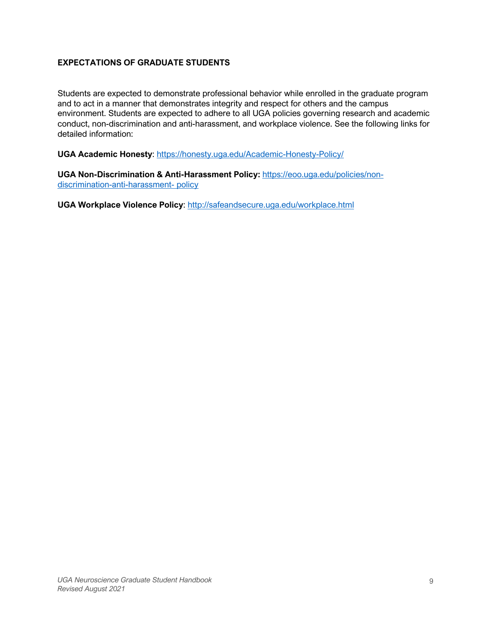# **EXPECTATIONS OF GRADUATE STUDENTS**

Students are expected to demonstrate professional behavior while enrolled in the graduate program and to act in a manner that demonstrates integrity and respect for others and the campus environment. Students are expected to adhere to all UGA policies governing research and academic conduct, non-discrimination and anti-harassment, and workplace violence. See the following links for detailed information:

**UGA Academic Honesty**: https://honesty.uga.edu/Academic-Honesty-Policy/

**UGA Non-Discrimination & Anti-Harassment Policy:** https://eoo.uga.edu/policies/nondiscrimination-anti-harassment- policy

**UGA Workplace Violence Policy**: http://safeandsecure.uga.edu/workplace.html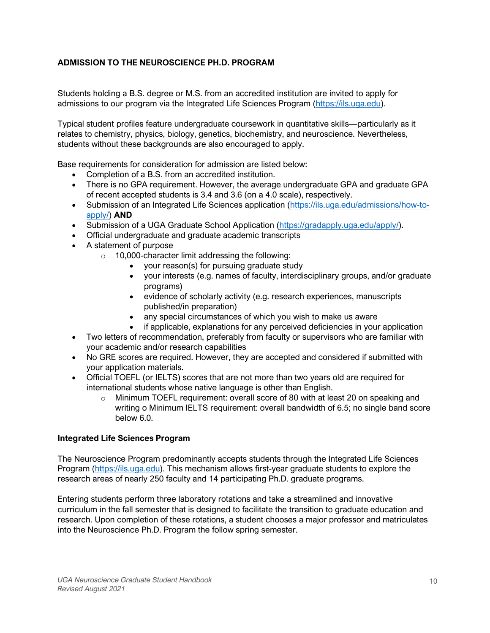# **ADMISSION TO THE NEUROSCIENCE PH.D. PROGRAM**

Students holding a B.S. degree or M.S. from an accredited institution are invited to apply for admissions to our program via the Integrated Life Sciences Program (https://ils.uga.edu).

Typical student profiles feature undergraduate coursework in quantitative skills—particularly as it relates to chemistry, physics, biology, genetics, biochemistry, and neuroscience. Nevertheless, students without these backgrounds are also encouraged to apply.

Base requirements for consideration for admission are listed below:

- Completion of a B.S. from an accredited institution.
- There is no GPA requirement. However, the average undergraduate GPA and graduate GPA of recent accepted students is 3.4 and 3.6 (on a 4.0 scale), respectively.
- Submission of an Integrated Life Sciences application (https://ils.uga.edu/admissions/how-toapply/) **AND**
- Submission of a UGA Graduate School Application (https://gradapply.uga.edu/apply/).
- Official undergraduate and graduate academic transcripts
- A statement of purpose
	- $\circ$  10,000-character limit addressing the following:
		- your reason(s) for pursuing graduate study
		- your interests (e.g. names of faculty, interdisciplinary groups, and/or graduate programs)
		- evidence of scholarly activity (e.g. research experiences, manuscripts published/in preparation)
		- any special circumstances of which you wish to make us aware
- if applicable, explanations for any perceived deficiencies in your application • Two letters of recommendation, preferably from faculty or supervisors who are familiar with
- your academic and/or research capabilities
- No GRE scores are required. However, they are accepted and considered if submitted with your application materials.
- Official TOEFL (or IELTS) scores that are not more than two years old are required for international students whose native language is other than English.
	- $\circ$  Minimum TOEFL requirement: overall score of 80 with at least 20 on speaking and writing o Minimum IELTS requirement: overall bandwidth of 6.5; no single band score below 6.0.

### **Integrated Life Sciences Program**

The Neuroscience Program predominantly accepts students through the Integrated Life Sciences Program (https://ils.uga.edu). This mechanism allows first-year graduate students to explore the research areas of nearly 250 faculty and 14 participating Ph.D. graduate programs.

Entering students perform three laboratory rotations and take a streamlined and innovative curriculum in the fall semester that is designed to facilitate the transition to graduate education and research. Upon completion of these rotations, a student chooses a major professor and matriculates into the Neuroscience Ph.D. Program the follow spring semester.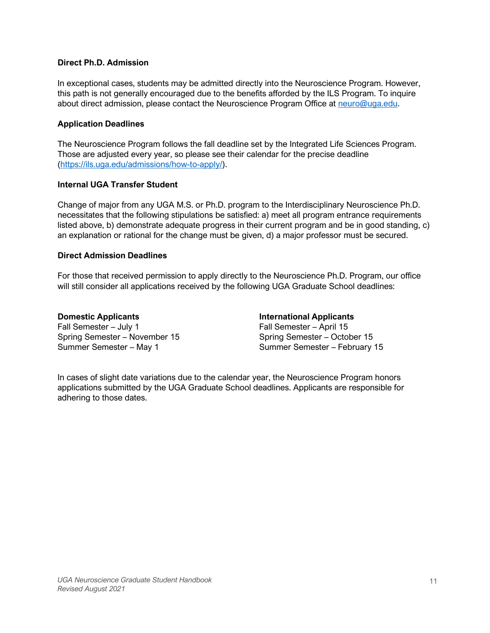### **Direct Ph.D. Admission**

In exceptional cases, students may be admitted directly into the Neuroscience Program. However, this path is not generally encouraged due to the benefits afforded by the ILS Program. To inquire about direct admission, please contact the Neuroscience Program Office at neuro@uga.edu.

# **Application Deadlines**

The Neuroscience Program follows the fall deadline set by the Integrated Life Sciences Program. Those are adjusted every year, so please see their calendar for the precise deadline (https://ils.uga.edu/admissions/how-to-apply/).

# **Internal UGA Transfer Student**

Change of major from any UGA M.S. or Ph.D. program to the Interdisciplinary Neuroscience Ph.D. necessitates that the following stipulations be satisfied: a) meet all program entrance requirements listed above, b) demonstrate adequate progress in their current program and be in good standing, c) an explanation or rational for the change must be given, d) a major professor must be secured.

# **Direct Admission Deadlines**

For those that received permission to apply directly to the Neuroscience Ph.D. Program, our office will still consider all applications received by the following UGA Graduate School deadlines:

**Domestic Applicants**  Fall Semester – July 1 Spring Semester – November 15 Summer Semester – May 1

**International Applicants**  Fall Semester – April 15 Spring Semester – October 15 Summer Semester – February 15

In cases of slight date variations due to the calendar year, the Neuroscience Program honors applications submitted by the UGA Graduate School deadlines. Applicants are responsible for adhering to those dates.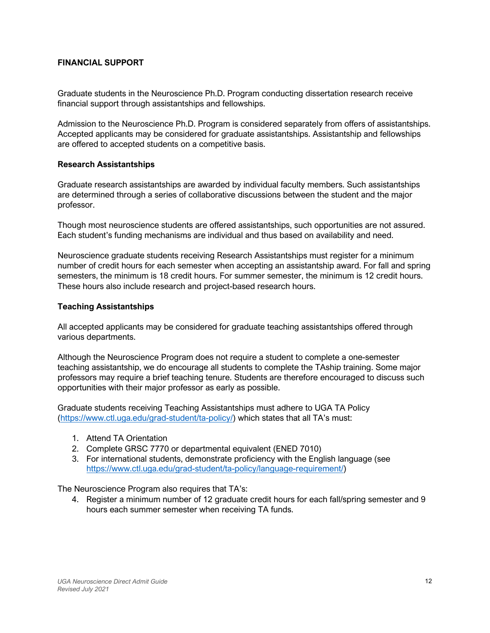# **FINANCIAL SUPPORT**

Graduate students in the Neuroscience Ph.D. Program conducting dissertation research receive financial support through assistantships and fellowships.

Admission to the Neuroscience Ph.D. Program is considered separately from offers of assistantships. Accepted applicants may be considered for graduate assistantships. Assistantship and fellowships are offered to accepted students on a competitive basis.

### **Research Assistantships**

Graduate research assistantships are awarded by individual faculty members. Such assistantships are determined through a series of collaborative discussions between the student and the major professor.

Though most neuroscience students are offered assistantships, such opportunities are not assured. Each student's funding mechanisms are individual and thus based on availability and need.

Neuroscience graduate students receiving Research Assistantships must register for a minimum number of credit hours for each semester when accepting an assistantship award. For fall and spring semesters, the minimum is 18 credit hours. For summer semester, the minimum is 12 credit hours. These hours also include research and project-based research hours.

### **Teaching Assistantships**

All accepted applicants may be considered for graduate teaching assistantships offered through various departments.

Although the Neuroscience Program does not require a student to complete a one-semester teaching assistantship, we do encourage all students to complete the TAship training. Some major professors may require a brief teaching tenure. Students are therefore encouraged to discuss such opportunities with their major professor as early as possible.

Graduate students receiving Teaching Assistantships must adhere to UGA TA Policy (https://www.ctl.uga.edu/grad-student/ta-policy/) which states that all TA's must:

- 1. Attend TA Orientation
- 2. Complete GRSC 7770 or departmental equivalent (ENED 7010)
- 3. For international students, demonstrate proficiency with the English language (see https://www.ctl.uga.edu/grad-student/ta-policy/language-requirement/)

The Neuroscience Program also requires that TA's:

4. Register a minimum number of 12 graduate credit hours for each fall/spring semester and 9 hours each summer semester when receiving TA funds.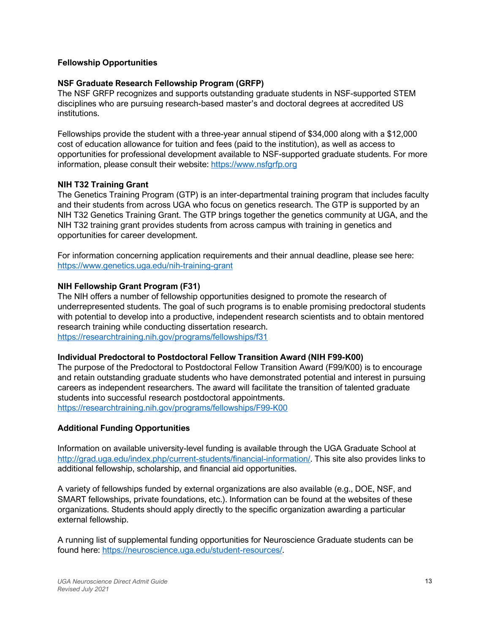### **Fellowship Opportunities**

### **NSF Graduate Research Fellowship Program (GRFP)**

The NSF GRFP recognizes and supports outstanding graduate students in NSF-supported STEM disciplines who are pursuing research-based master's and doctoral degrees at accredited US institutions.

Fellowships provide the student with a three-year annual stipend of \$34,000 along with a \$12,000 cost of education allowance for tuition and fees (paid to the institution), as well as access to opportunities for professional development available to NSF-supported graduate students. For more information, please consult their website: https://www.nsfgrfp.org

### **NIH T32 Training Grant**

The Genetics Training Program (GTP) is an inter-departmental training program that includes faculty and their students from across UGA who focus on genetics research. The GTP is supported by an NIH T32 Genetics Training Grant. The GTP brings together the genetics community at UGA, and the NIH T32 training grant provides students from across campus with training in genetics and opportunities for career development.

For information concerning application requirements and their annual deadline, please see here: https://www.genetics.uga.edu/nih-training-grant

### **NIH Fellowship Grant Program (F31)**

The NIH offers a number of fellowship opportunities designed to promote the research of underrepresented students. The goal of such programs is to enable promising predoctoral students with potential to develop into a productive, independent research scientists and to obtain mentored research training while conducting dissertation research. https://researchtraining.nih.gov/programs/fellowships/f31

### **Individual Predoctoral to Postdoctoral Fellow Transition Award (NIH F99-K00)**

The purpose of the Predoctoral to Postdoctoral Fellow Transition Award (F99/K00) is to encourage and retain outstanding graduate students who have demonstrated potential and interest in pursuing careers as independent researchers. The award will facilitate the transition of talented graduate students into successful research postdoctoral appointments. https://researchtraining.nih.gov/programs/fellowships/F99-K00

### **Additional Funding Opportunities**

Information on available university-level funding is available through the UGA Graduate School at http://grad.uga.edu/index.php/current-students/financial-information/. This site also provides links to additional fellowship, scholarship, and financial aid opportunities.

A variety of fellowships funded by external organizations are also available (e.g., DOE, NSF, and SMART fellowships, private foundations, etc.). Information can be found at the websites of these organizations. Students should apply directly to the specific organization awarding a particular external fellowship.

A running list of supplemental funding opportunities for Neuroscience Graduate students can be found here: https://neuroscience.uga.edu/student-resources/.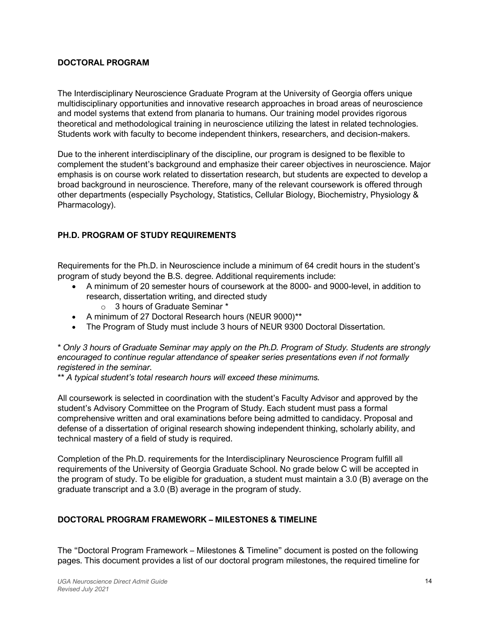# **DOCTORAL PROGRAM**

The Interdisciplinary Neuroscience Graduate Program at the University of Georgia offers unique multidisciplinary opportunities and innovative research approaches in broad areas of neuroscience and model systems that extend from planaria to humans. Our training model provides rigorous theoretical and methodological training in neuroscience utilizing the latest in related technologies. Students work with faculty to become independent thinkers, researchers, and decision-makers.

Due to the inherent interdisciplinary of the discipline, our program is designed to be flexible to complement the student's background and emphasize their career objectives in neuroscience. Major emphasis is on course work related to dissertation research, but students are expected to develop a broad background in neuroscience. Therefore, many of the relevant coursework is offered through other departments (especially Psychology, Statistics, Cellular Biology, Biochemistry, Physiology & Pharmacology).

# **PH.D. PROGRAM OF STUDY REQUIREMENTS**

Requirements for the Ph.D. in Neuroscience include a minimum of 64 credit hours in the student's program of study beyond the B.S. degree. Additional requirements include:

- A minimum of 20 semester hours of coursework at the 8000- and 9000-level, in addition to research, dissertation writing, and directed study
	- o 3 hours of Graduate Seminar \*
- A minimum of 27 Doctoral Research hours (NEUR 9000)\*\*
- The Program of Study must include 3 hours of NEUR 9300 Doctoral Dissertation.

*\* Only 3 hours of Graduate Seminar may apply on the Ph.D. Program of Study. Students are strongly encouraged to continue regular attendance of speaker series presentations even if not formally registered in the seminar.*

*\*\* A typical student's total research hours will exceed these minimums.*

All coursework is selected in coordination with the student's Faculty Advisor and approved by the student's Advisory Committee on the Program of Study. Each student must pass a formal comprehensive written and oral examinations before being admitted to candidacy. Proposal and defense of a dissertation of original research showing independent thinking, scholarly ability, and technical mastery of a field of study is required.

Completion of the Ph.D. requirements for the Interdisciplinary Neuroscience Program fulfill all requirements of the University of Georgia Graduate School. No grade below C will be accepted in the program of study. To be eligible for graduation, a student must maintain a 3.0 (B) average on the graduate transcript and a 3.0 (B) average in the program of study.

# **DOCTORAL PROGRAM FRAMEWORK – MILESTONES & TIMELINE**

The "Doctoral Program Framework – Milestones & Timeline" document is posted on the following pages. This document provides a list of our doctoral program milestones, the required timeline for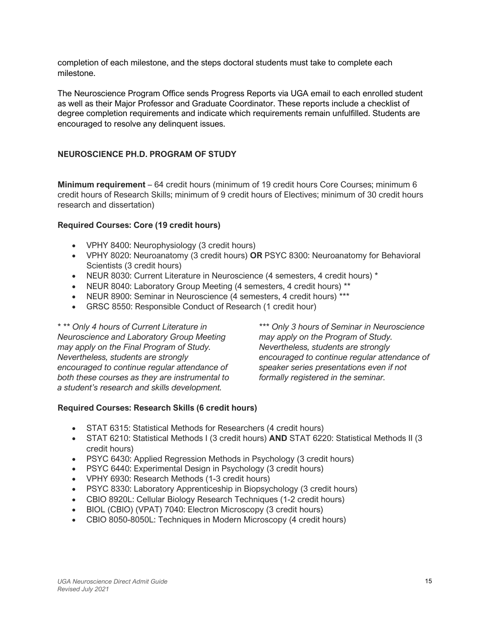completion of each milestone, and the steps doctoral students must take to complete each milestone.

The Neuroscience Program Office sends Progress Reports via UGA email to each enrolled student as well as their Major Professor and Graduate Coordinator. These reports include a checklist of degree completion requirements and indicate which requirements remain unfulfilled. Students are encouraged to resolve any delinquent issues.

# **NEUROSCIENCE PH.D. PROGRAM OF STUDY**

**Minimum requirement** – 64 credit hours (minimum of 19 credit hours Core Courses; minimum 6 credit hours of Research Skills; minimum of 9 credit hours of Electives; minimum of 30 credit hours research and dissertation)

### **Required Courses: Core (19 credit hours)**

- VPHY 8400: Neurophysiology (3 credit hours)
- VPHY 8020: Neuroanatomy (3 credit hours) **OR** PSYC 8300: Neuroanatomy for Behavioral Scientists (3 credit hours)
- NEUR 8030: Current Literature in Neuroscience (4 semesters, 4 credit hours) \*
- NEUR 8040: Laboratory Group Meeting (4 semesters, 4 credit hours) \*\*
- NEUR 8900: Seminar in Neuroscience (4 semesters, 4 credit hours) \*\*\*
- GRSC 8550: Responsible Conduct of Research (1 credit hour)

*\* \*\* Only 4 hours of Current Literature in Neuroscience and Laboratory Group Meeting may apply on the Final Program of Study. Nevertheless, students are strongly encouraged to continue regular attendance of both these courses as they are instrumental to a student's research and skills development.*

*\*\*\* Only 3 hours of Seminar in Neuroscience may apply on the Program of Study. Nevertheless, students are strongly encouraged to continue regular attendance of speaker series presentations even if not formally registered in the seminar.* 

### **Required Courses: Research Skills (6 credit hours)**

- STAT 6315: Statistical Methods for Researchers (4 credit hours)
- STAT 6210: Statistical Methods I (3 credit hours) **AND** STAT 6220: Statistical Methods II (3 credit hours)
- PSYC 6430: Applied Regression Methods in Psychology (3 credit hours)
- PSYC 6440: Experimental Design in Psychology (3 credit hours)
- VPHY 6930: Research Methods (1-3 credit hours)
- PSYC 8330: Laboratory Apprenticeship in Biopsychology (3 credit hours)
- CBIO 8920L: Cellular Biology Research Techniques (1-2 credit hours)
- BIOL (CBIO) (VPAT) 7040: Electron Microscopy (3 credit hours)
- CBIO 8050-8050L: Techniques in Modern Microscopy (4 credit hours)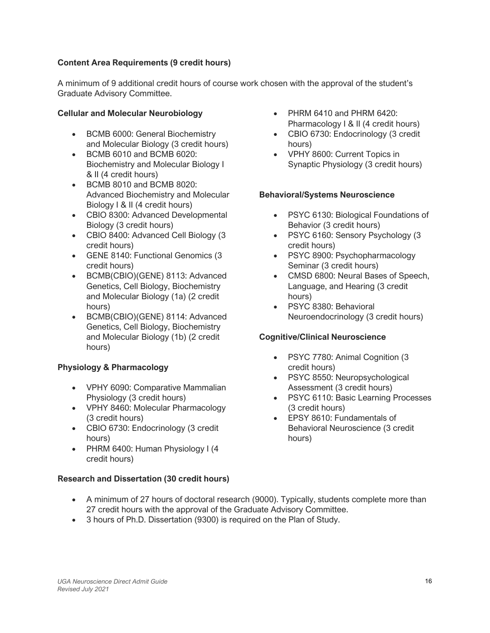# **Content Area Requirements (9 credit hours)**

A minimum of 9 additional credit hours of course work chosen with the approval of the student's Graduate Advisory Committee.

# **Cellular and Molecular Neurobiology**

- BCMB 6000: General Biochemistry and Molecular Biology (3 credit hours)
- BCMB 6010 and BCMB 6020: Biochemistry and Molecular Biology I & II (4 credit hours)
- BCMB 8010 and BCMB 8020: Advanced Biochemistry and Molecular Biology I & II (4 credit hours)
- CBIO 8300: Advanced Developmental Biology (3 credit hours)
- CBIO 8400: Advanced Cell Biology (3 credit hours)
- GENE 8140: Functional Genomics (3 credit hours)
- BCMB(CBIO)(GENE) 8113: Advanced Genetics, Cell Biology, Biochemistry and Molecular Biology (1a) (2 credit hours)
- BCMB(CBIO)(GENE) 8114: Advanced Genetics, Cell Biology, Biochemistry and Molecular Biology (1b) (2 credit hours)

# **Physiology & Pharmacology**

- VPHY 6090: Comparative Mammalian Physiology (3 credit hours)
- VPHY 8460: Molecular Pharmacology (3 credit hours)
- CBIO 6730: Endocrinology (3 credit hours)
- PHRM 6400: Human Physiology I (4 credit hours)

# **Research and Dissertation (30 credit hours)**

- PHRM 6410 and PHRM 6420: Pharmacology I & II (4 credit hours)
- CBIO 6730: Endocrinology (3 credit hours)
- VPHY 8600: Current Topics in Synaptic Physiology (3 credit hours)

# **Behavioral/Systems Neuroscience**

- PSYC 6130: Biological Foundations of Behavior (3 credit hours)
- PSYC 6160: Sensory Psychology (3 credit hours)
- PSYC 8900: Psychopharmacology Seminar (3 credit hours)
- CMSD 6800: Neural Bases of Speech, Language, and Hearing (3 credit hours)
- PSYC 8380: Behavioral Neuroendocrinology (3 credit hours)

# **Cognitive/Clinical Neuroscience**

- PSYC 7780: Animal Cognition (3) credit hours)
- PSYC 8550: Neuropsychological Assessment (3 credit hours)
- PSYC 6110: Basic Learning Processes (3 credit hours)
- EPSY 8610: Fundamentals of Behavioral Neuroscience (3 credit hours)
- A minimum of 27 hours of doctoral research (9000). Typically, students complete more than 27 credit hours with the approval of the Graduate Advisory Committee.
- 3 hours of Ph.D. Dissertation (9300) is required on the Plan of Study.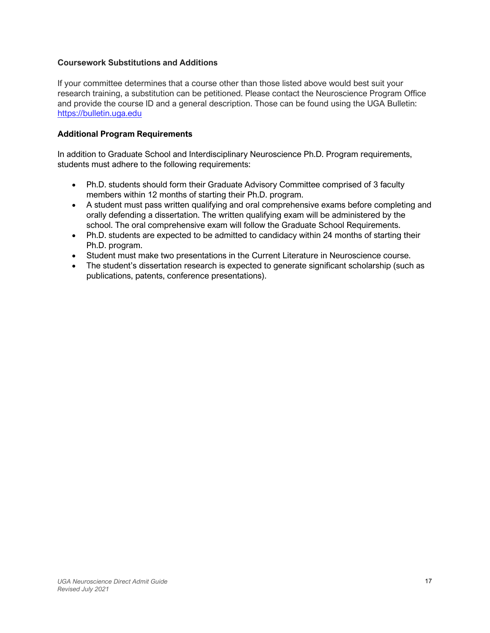# **Coursework Substitutions and Additions**

If your committee determines that a course other than those listed above would best suit your research training, a substitution can be petitioned. Please contact the Neuroscience Program Office and provide the course ID and a general description. Those can be found using the UGA Bulletin: https://bulletin.uga.edu

# **Additional Program Requirements**

In addition to Graduate School and Interdisciplinary Neuroscience Ph.D. Program requirements, students must adhere to the following requirements:

- Ph.D. students should form their Graduate Advisory Committee comprised of 3 faculty members within 12 months of starting their Ph.D. program.
- A student must pass written qualifying and oral comprehensive exams before completing and orally defending a dissertation. The written qualifying exam will be administered by the school. The oral comprehensive exam will follow the Graduate School Requirements.
- Ph.D. students are expected to be admitted to candidacy within 24 months of starting their Ph.D. program.
- Student must make two presentations in the Current Literature in Neuroscience course.
- The student's dissertation research is expected to generate significant scholarship (such as publications, patents, conference presentations).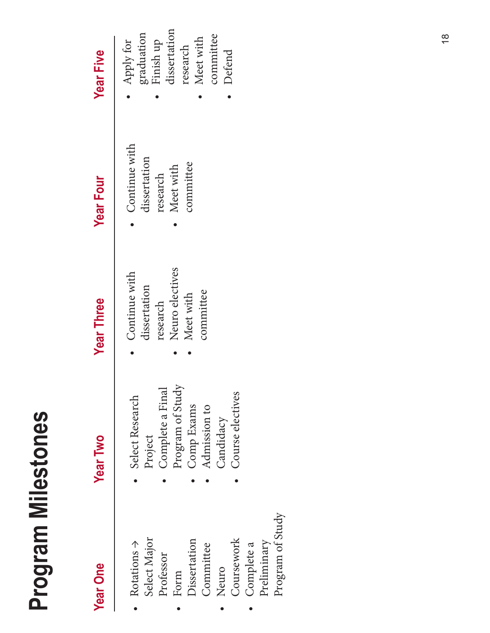# Program Milestones **Program Milestones**

| <b>Year One</b>         | <b>Year Two</b>  | <b>Year Three</b> | <b>Year Four</b> | <b>Year Five</b>         |
|-------------------------|------------------|-------------------|------------------|--------------------------|
| Rotations $\Rightarrow$ | Select Research  | Continue with     | Continue with    | Apply for                |
| Select Major            | Project          | dissertation      | dissertation     | graduation               |
| Professor               | Complete a Final | research          | research         | Finish up                |
| Form                    | Program of Study | Neuro electives   | Meet with        | dissertation<br>research |
| Dissertation            | Comp Exams       | Meet with         | committee        | Meet with                |
| Committee               | Admission to     | committee         |                  | committee                |
| Neuro                   | Candidacy        |                   |                  | Defend                   |
| Coursework              | Course electives |                   |                  |                          |
| Complete a              |                  |                   |                  |                          |
| Preliminary             |                  |                   |                  |                          |
| Program of Study        |                  |                   |                  |                          |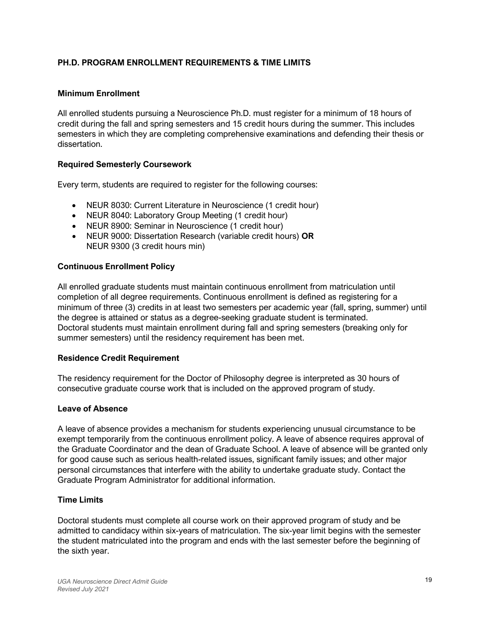# **PH.D. PROGRAM ENROLLMENT REQUIREMENTS & TIME LIMITS**

### **Minimum Enrollment**

All enrolled students pursuing a Neuroscience Ph.D. must register for a minimum of 18 hours of credit during the fall and spring semesters and 15 credit hours during the summer. This includes semesters in which they are completing comprehensive examinations and defending their thesis or dissertation.

### **Required Semesterly Coursework**

Every term, students are required to register for the following courses:

- NEUR 8030: Current Literature in Neuroscience (1 credit hour)
- NEUR 8040: Laboratory Group Meeting (1 credit hour)
- NEUR 8900: Seminar in Neuroscience (1 credit hour)
- NEUR 9000: Dissertation Research (variable credit hours) **OR** NEUR 9300 (3 credit hours min)

### **Continuous Enrollment Policy**

All enrolled graduate students must maintain continuous enrollment from matriculation until completion of all degree requirements. Continuous enrollment is defined as registering for a minimum of three (3) credits in at least two semesters per academic year (fall, spring, summer) until the degree is attained or status as a degree-seeking graduate student is terminated. Doctoral students must maintain enrollment during fall and spring semesters (breaking only for summer semesters) until the residency requirement has been met.

### **Residence Credit Requirement**

The residency requirement for the Doctor of Philosophy degree is interpreted as 30 hours of consecutive graduate course work that is included on the approved program of study.

### **Leave of Absence**

A leave of absence provides a mechanism for students experiencing unusual circumstance to be exempt temporarily from the continuous enrollment policy. A leave of absence requires approval of the Graduate Coordinator and the dean of Graduate School. A leave of absence will be granted only for good cause such as serious health-related issues, significant family issues; and other major personal circumstances that interfere with the ability to undertake graduate study. Contact the Graduate Program Administrator for additional information.

### **Time Limits**

Doctoral students must complete all course work on their approved program of study and be admitted to candidacy within six-years of matriculation. The six-year limit begins with the semester the student matriculated into the program and ends with the last semester before the beginning of the sixth year.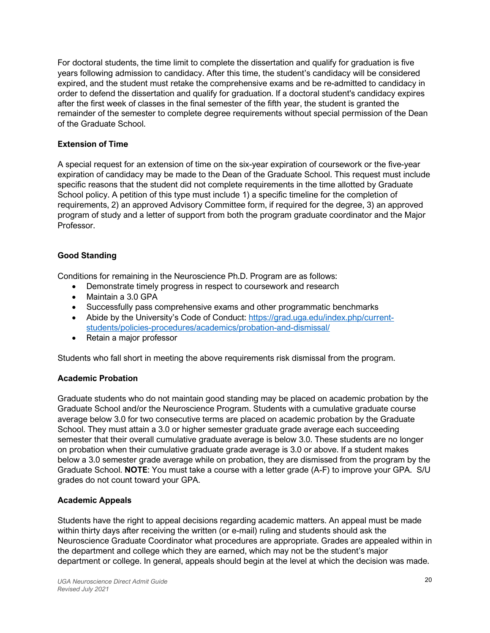For doctoral students, the time limit to complete the dissertation and qualify for graduation is five years following admission to candidacy. After this time, the student's candidacy will be considered expired, and the student must retake the comprehensive exams and be re-admitted to candidacy in order to defend the dissertation and qualify for graduation. If a doctoral student's candidacy expires after the first week of classes in the final semester of the fifth year, the student is granted the remainder of the semester to complete degree requirements without special permission of the Dean of the Graduate School.

# **Extension of Time**

A special request for an extension of time on the six-year expiration of coursework or the five-year expiration of candidacy may be made to the Dean of the Graduate School. This request must include specific reasons that the student did not complete requirements in the time allotted by Graduate School policy. A petition of this type must include 1) a specific timeline for the completion of requirements, 2) an approved Advisory Committee form, if required for the degree, 3) an approved program of study and a letter of support from both the program graduate coordinator and the Major Professor.

# **Good Standing**

Conditions for remaining in the Neuroscience Ph.D. Program are as follows:

- Demonstrate timely progress in respect to coursework and research
- Maintain a 3.0 GPA
- Successfully pass comprehensive exams and other programmatic benchmarks
- Abide by the University's Code of Conduct: https://grad.uga.edu/index.php/currentstudents/policies-procedures/academics/probation-and-dismissal/
- Retain a major professor

Students who fall short in meeting the above requirements risk dismissal from the program.

# **Academic Probation**

Graduate students who do not maintain good standing may be placed on academic probation by the Graduate School and/or the Neuroscience Program. Students with a cumulative graduate course average below 3.0 for two consecutive terms are placed on academic probation by the Graduate School. They must attain a 3.0 or higher semester graduate grade average each succeeding semester that their overall cumulative graduate average is below 3.0. These students are no longer on probation when their cumulative graduate grade average is 3.0 or above. If a student makes below a 3.0 semester grade average while on probation, they are dismissed from the program by the Graduate School. **NOTE**: You must take a course with a letter grade (A-F) to improve your GPA. S/U grades do not count toward your GPA.

# **Academic Appeals**

Students have the right to appeal decisions regarding academic matters. An appeal must be made within thirty days after receiving the written (or e-mail) ruling and students should ask the Neuroscience Graduate Coordinator what procedures are appropriate. Grades are appealed within in the department and college which they are earned, which may not be the student's major department or college. In general, appeals should begin at the level at which the decision was made.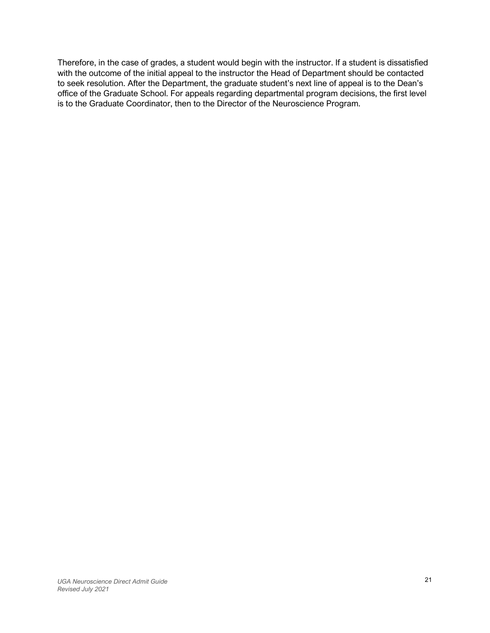Therefore, in the case of grades, a student would begin with the instructor. If a student is dissatisfied with the outcome of the initial appeal to the instructor the Head of Department should be contacted to seek resolution. After the Department, the graduate student's next line of appeal is to the Dean's office of the Graduate School. For appeals regarding departmental program decisions, the first level is to the Graduate Coordinator, then to the Director of the Neuroscience Program.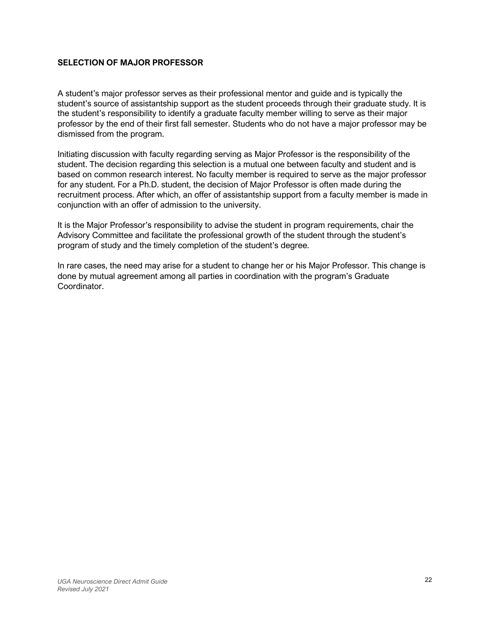# **SELECTION OF MAJOR PROFESSOR**

A student's major professor serves as their professional mentor and guide and is typically the student's source of assistantship support as the student proceeds through their graduate study. It is the student's responsibility to identify a graduate faculty member willing to serve as their major professor by the end of their first fall semester. Students who do not have a major professor may be dismissed from the program.

Initiating discussion with faculty regarding serving as Major Professor is the responsibility of the student. The decision regarding this selection is a mutual one between faculty and student and is based on common research interest. No faculty member is required to serve as the major professor for any student. For a Ph.D. student, the decision of Major Professor is often made during the recruitment process. After which, an offer of assistantship support from a faculty member is made in conjunction with an offer of admission to the university.

It is the Major Professor's responsibility to advise the student in program requirements, chair the Advisory Committee and facilitate the professional growth of the student through the student's program of study and the timely completion of the student's degree.

In rare cases, the need may arise for a student to change her or his Major Professor. This change is done by mutual agreement among all parties in coordination with the program's Graduate Coordinator.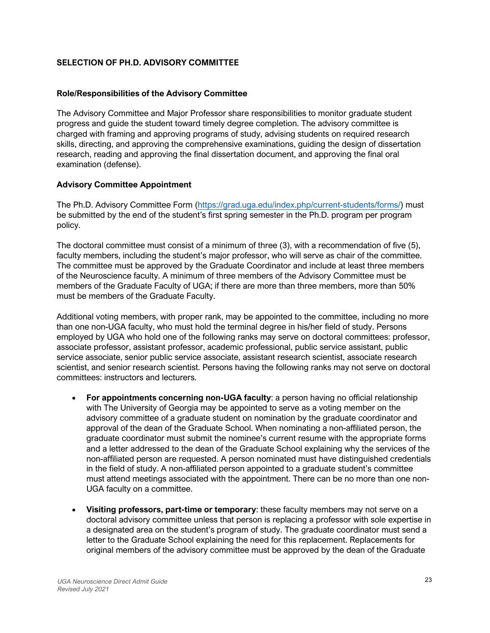# **SELECTION OF PH.D. ADVISORY COMMITTEE**

### **Role/Responsibilities of the Advisory Committee**

The Advisory Committee and Major Professor share responsibilities to monitor graduate student progress and guide the student toward timely degree completion. The advisory committee is charged with framing and approving programs of study, advising students on required research skills, directing, and approving the comprehensive examinations, guiding the design of dissertation research, reading and approving the final dissertation document, and approving the final oral examination (defense).

### **Advisory Committee Appointment**

The Ph.D. Advisory Committee Form (https://grad.uga.edu/index.php/current-students/forms/) must be submitted by the end of the student's first spring semester in the Ph.D. program per program policy.

The doctoral committee must consist of a minimum of three (3), with a recommendation of five (5), faculty members, including the student's major professor, who will serve as chair of the committee. The committee must be approved by the Graduate Coordinator and include at least three members of the Neuroscience faculty. A minimum of three members of the Advisory Committee must be members of the Graduate Faculty of UGA; if there are more than three members, more than 50% must be members of the Graduate Faculty.

Additional voting members, with proper rank, may be appointed to the committee, including no more than one non-UGA faculty, who must hold the terminal degree in his/her field of study. Persons employed by UGA who hold one of the following ranks may serve on doctoral committees: professor, associate professor, assistant professor, academic professional, public service assistant, public service associate, senior public service associate, assistant research scientist, associate research scientist, and senior research scientist. Persons having the following ranks may not serve on doctoral committees: instructors and lecturers.

- **For appointments concerning non-UGA faculty**: a person having no official relationship with The University of Georgia may be appointed to serve as a voting member on the advisory committee of a graduate student on nomination by the graduate coordinator and approval of the dean of the Graduate School. When nominating a non-affiliated person, the graduate coordinator must submit the nominee's current resume with the appropriate forms and a letter addressed to the dean of the Graduate School explaining why the services of the non-affiliated person are requested. A person nominated must have distinguished credentials in the field of study. A non-affiliated person appointed to a graduate student's committee must attend meetings associated with the appointment. There can be no more than one non-UGA faculty on a committee.
- **Visiting professors, part-time or temporary**: these faculty members may not serve on a doctoral advisory committee unless that person is replacing a professor with sole expertise in a designated area on the student's program of study. The graduate coordinator must send a letter to the Graduate School explaining the need for this replacement. Replacements for original members of the advisory committee must be approved by the dean of the Graduate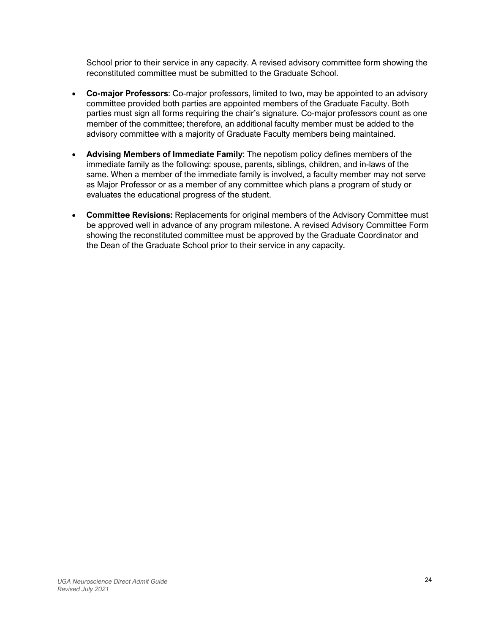School prior to their service in any capacity. A revised advisory committee form showing the reconstituted committee must be submitted to the Graduate School.

- **Co-major Professors**: Co-major professors, limited to two, may be appointed to an advisory committee provided both parties are appointed members of the Graduate Faculty. Both parties must sign all forms requiring the chair's signature. Co-major professors count as one member of the committee; therefore, an additional faculty member must be added to the advisory committee with a majority of Graduate Faculty members being maintained.
- **Advising Members of Immediate Family**: The nepotism policy defines members of the immediate family as the following: spouse, parents, siblings, children, and in-laws of the same. When a member of the immediate family is involved, a faculty member may not serve as Major Professor or as a member of any committee which plans a program of study or evaluates the educational progress of the student.
- **Committee Revisions:** Replacements for original members of the Advisory Committee must be approved well in advance of any program milestone. A revised Advisory Committee Form showing the reconstituted committee must be approved by the Graduate Coordinator and the Dean of the Graduate School prior to their service in any capacity.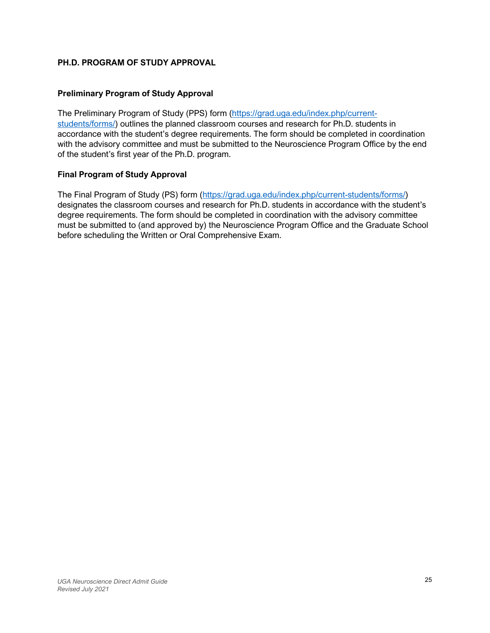# **PH.D. PROGRAM OF STUDY APPROVAL**

### **Preliminary Program of Study Approval**

The Preliminary Program of Study (PPS) form (https://grad.uga.edu/index.php/currentstudents/forms/) outlines the planned classroom courses and research for Ph.D. students in accordance with the student's degree requirements. The form should be completed in coordination with the advisory committee and must be submitted to the Neuroscience Program Office by the end of the student's first year of the Ph.D. program.

### **Final Program of Study Approval**

The Final Program of Study (PS) form (https://grad.uga.edu/index.php/current-students/forms/) designates the classroom courses and research for Ph.D. students in accordance with the student's degree requirements. The form should be completed in coordination with the advisory committee must be submitted to (and approved by) the Neuroscience Program Office and the Graduate School before scheduling the Written or Oral Comprehensive Exam.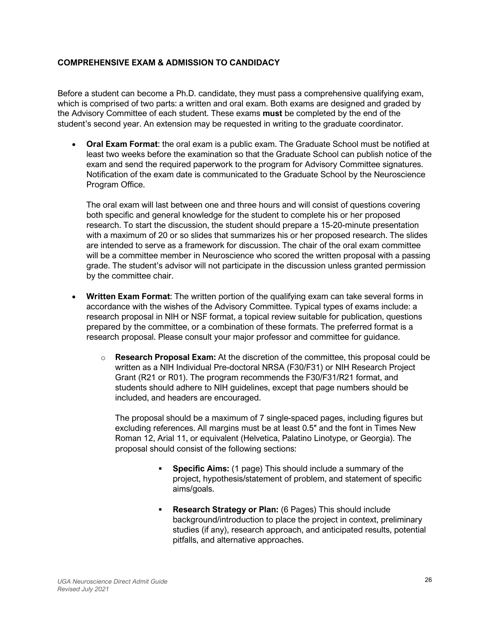# **COMPREHENSIVE EXAM & ADMISSION TO CANDIDACY**

Before a student can become a Ph.D. candidate, they must pass a comprehensive qualifying exam, which is comprised of two parts: a written and oral exam. Both exams are designed and graded by the Advisory Committee of each student. These exams **must** be completed by the end of the student's second year. An extension may be requested in writing to the graduate coordinator.

• **Oral Exam Format**: the oral exam is a public exam. The Graduate School must be notified at least two weeks before the examination so that the Graduate School can publish notice of the exam and send the required paperwork to the program for Advisory Committee signatures. Notification of the exam date is communicated to the Graduate School by the Neuroscience Program Office.

The oral exam will last between one and three hours and will consist of questions covering both specific and general knowledge for the student to complete his or her proposed research. To start the discussion, the student should prepare a 15-20-minute presentation with a maximum of 20 or so slides that summarizes his or her proposed research. The slides are intended to serve as a framework for discussion. The chair of the oral exam committee will be a committee member in Neuroscience who scored the written proposal with a passing grade. The student's advisor will not participate in the discussion unless granted permission by the committee chair.

- **Written Exam Format**: The written portion of the qualifying exam can take several forms in accordance with the wishes of the Advisory Committee. Typical types of exams include: a research proposal in NIH or NSF format, a topical review suitable for publication, questions prepared by the committee, or a combination of these formats. The preferred format is a research proposal. Please consult your major professor and committee for guidance.
	- o **Research Proposal Exam:** At the discretion of the committee, this proposal could be written as a NIH Individual Pre-doctoral NRSA (F30/F31) or NIH Research Project Grant (R21 or R01). The program recommends the F30/F31/R21 format, and students should adhere to NIH guidelines, except that page numbers should be included, and headers are encouraged.

The proposal should be a maximum of 7 single-spaced pages, including figures but excluding references. All margins must be at least 0.5″ and the font in Times New Roman 12, Arial 11, or equivalent (Helvetica, Palatino Linotype, or Georgia). The proposal should consist of the following sections:

- § **Specific Aims:** (1 page) This should include a summary of the project, hypothesis/statement of problem, and statement of specific aims/goals.
- § **Research Strategy or Plan:** (6 Pages) This should include background/introduction to place the project in context, preliminary studies (if any), research approach, and anticipated results, potential pitfalls, and alternative approaches.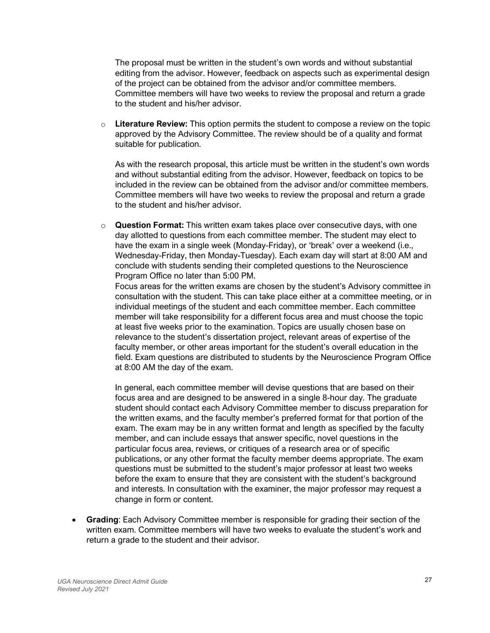The proposal must be written in the student's own words and without substantial editing from the advisor. However, feedback on aspects such as experimental design of the project can be obtained from the advisor and/or committee members. Committee members will have two weeks to review the proposal and return a grade to the student and his/her advisor.

o **Literature Review:** This option permits the student to compose a review on the topic approved by the Advisory Committee. The review should be of a quality and format suitable for publication.

As with the research proposal, this article must be written in the student's own words and without substantial editing from the advisor. However, feedback on topics to be included in the review can be obtained from the advisor and/or committee members. Committee members will have two weeks to review the proposal and return a grade to the student and his/her advisor.

o **Question Format:** This written exam takes place over consecutive days, with one day allotted to questions from each committee member. The student may elect to have the exam in a single week (Monday-Friday), or 'break' over a weekend (i.e., Wednesday-Friday, then Monday-Tuesday). Each exam day will start at 8:00 AM and conclude with students sending their completed questions to the Neuroscience Program Office no later than 5:00 PM.

Focus areas for the written exams are chosen by the student's Advisory committee in consultation with the student. This can take place either at a committee meeting, or in individual meetings of the student and each committee member. Each committee member will take responsibility for a different focus area and must choose the topic at least five weeks prior to the examination. Topics are usually chosen base on relevance to the student's dissertation project, relevant areas of expertise of the faculty member, or other areas important for the student's overall education in the field. Exam questions are distributed to students by the Neuroscience Program Office at 8:00 AM the day of the exam.

In general, each committee member will devise questions that are based on their focus area and are designed to be answered in a single 8-hour day. The graduate student should contact each Advisory Committee member to discuss preparation for the written exams, and the faculty member's preferred format for that portion of the exam. The exam may be in any written format and length as specified by the faculty member, and can include essays that answer specific, novel questions in the particular focus area, reviews, or critiques of a research area or of specific publications, or any other format the faculty member deems appropriate. The exam questions must be submitted to the student's major professor at least two weeks before the exam to ensure that they are consistent with the student's background and interests. In consultation with the examiner, the major professor may request a change in form or content.

• **Grading**: Each Advisory Committee member is responsible for grading their section of the written exam. Committee members will have two weeks to evaluate the student's work and return a grade to the student and their advisor.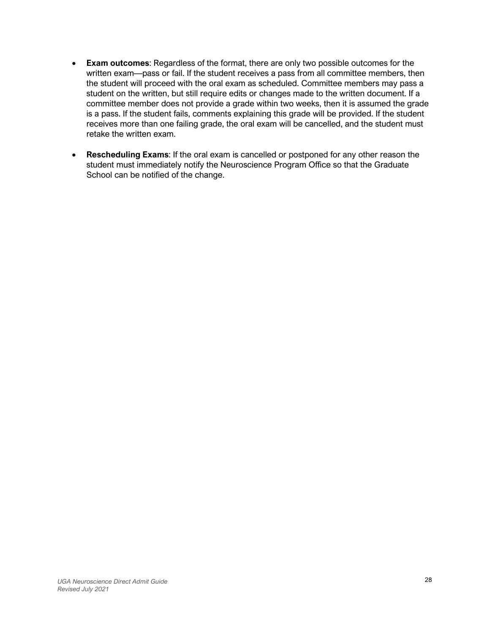- **Exam outcomes**: Regardless of the format, there are only two possible outcomes for the written exam—pass or fail. If the student receives a pass from all committee members, then the student will proceed with the oral exam as scheduled. Committee members may pass a student on the written, but still require edits or changes made to the written document. If a committee member does not provide a grade within two weeks, then it is assumed the grade is a pass. If the student fails, comments explaining this grade will be provided. If the student receives more than one failing grade, the oral exam will be cancelled, and the student must retake the written exam.
- **Rescheduling Exams**: If the oral exam is cancelled or postponed for any other reason the student must immediately notify the Neuroscience Program Office so that the Graduate School can be notified of the change.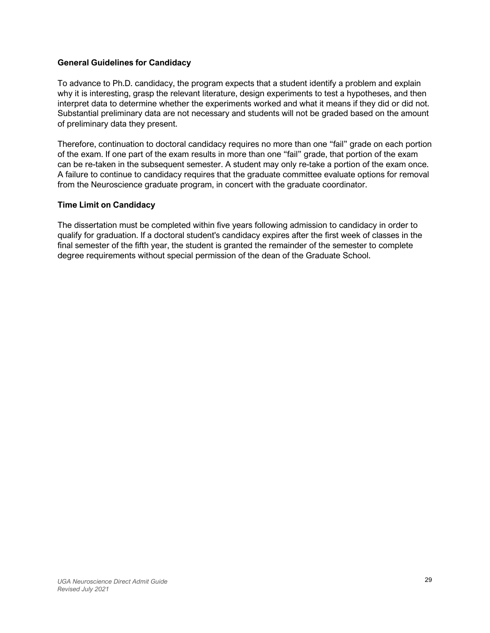# **General Guidelines for Candidacy**

To advance to Ph.D. candidacy, the program expects that a student identify a problem and explain why it is interesting, grasp the relevant literature, design experiments to test a hypotheses, and then interpret data to determine whether the experiments worked and what it means if they did or did not. Substantial preliminary data are not necessary and students will not be graded based on the amount of preliminary data they present.

Therefore, continuation to doctoral candidacy requires no more than one "fail" grade on each portion of the exam. If one part of the exam results in more than one "fail" grade, that portion of the exam can be re-taken in the subsequent semester. A student may only re-take a portion of the exam once. A failure to continue to candidacy requires that the graduate committee evaluate options for removal from the Neuroscience graduate program, in concert with the graduate coordinator.

### **Time Limit on Candidacy**

The dissertation must be completed within five years following admission to candidacy in order to qualify for graduation. If a doctoral student's candidacy expires after the first week of classes in the final semester of the fifth year, the student is granted the remainder of the semester to complete degree requirements without special permission of the dean of the Graduate School.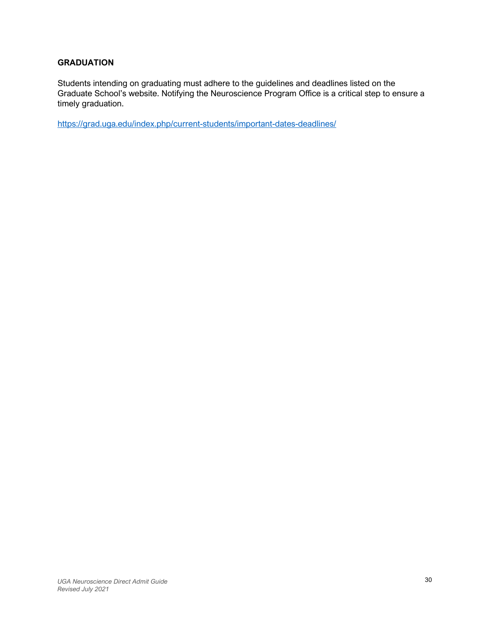# **GRADUATION**

Students intending on graduating must adhere to the guidelines and deadlines listed on the Graduate School's website. Notifying the Neuroscience Program Office is a critical step to ensure a timely graduation.

https://grad.uga.edu/index.php/current-students/important-dates-deadlines/